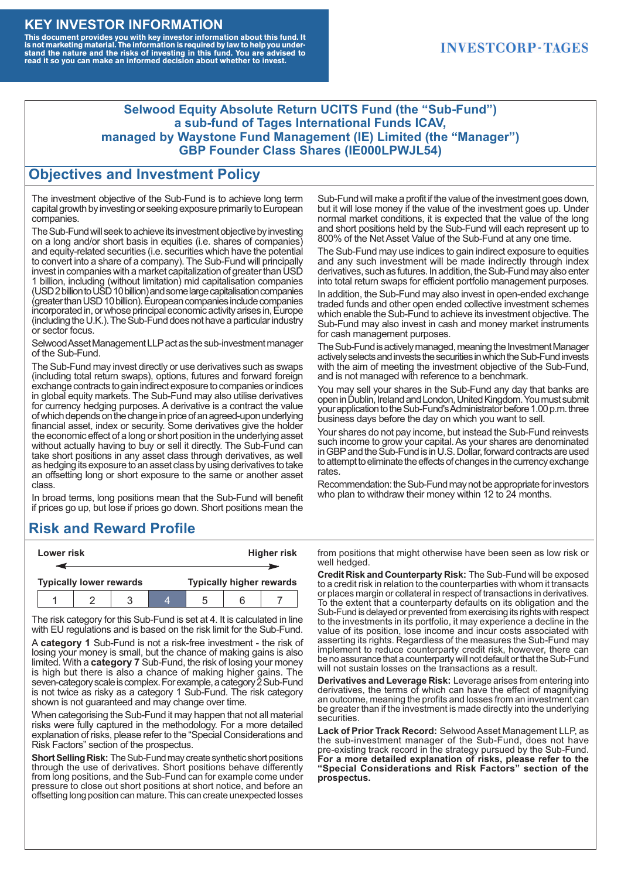#### **KEY INVESTOR INFORMATION**

This document provides you with key investor information about this fund. It<br>is not marketing material. The information is required by law to help you under-<br>stand the nature and the risks of investing in this fund. You ar

#### **INVESTCORP-TAGES**

#### **Selwood Equity Absolute Return UCITS Fund (the "Sub-Fund") a sub-fund of Tages International Funds ICAV, managed by Waystone Fund Management (IE) Limited (the "Manager") GBP Founder Class Shares (IE000LPWJL54)**

#### **Objectives and Investment Policy**

The investment objective of the Sub-Fund is to achieve long term capital growth by investing or seeking exposure primarily to European companies.

The Sub-Fund will seek to achieve its investment objective by investing on a long and/or short basis in equities (i.e. shares of companies) and equity-related securities (i.e. securities which have the potential to convert into a share of a company). The Sub-Fund will principally invest in companies with a market capitalization of greater than USD 1 billion, including (without limitation) mid capitalisation companies (USD 2 billion to USD 10 billion) and some large capitalisation companies (greaterthanUSD10billion).European companiesinclude companies incorporated in, or whose principal economic activity arises in, Europe (including the U.K.). The Sub-Fund does not have a particular industry or sector focus.

Selwood Asset Management LLP act as the sub-investment manager of the Sub-Fund.

The Sub-Fund may invest directly or use derivatives such as swaps (including total return swaps), options, futures and forward foreign exchange contracts to gain indirect exposure to companies or indices in global equity markets. The Sub-Fund may also utilise derivatives for currency hedging purposes. A derivative is a contract the value of which depends on the change in price of an agreed-upon underlying financial asset, index or security. Some derivatives give the holder the economic effect of a long or short position in the underlying asset without actually having to buy or sell it directly. The Sub-Fund can take short positions in any asset class through derivatives, as well as hedging its exposure to an asset class by using derivatives to take an offsetting long or short exposure to the same or another asset class.

In broad terms, long positions mean that the Sub-Fund will benefit if prices go up, but lose if prices go down. Short positions mean the

## **Risk and Reward Profile**

|                                | Lower risk |  |  | <b>Higher risk</b>              |  |  |
|--------------------------------|------------|--|--|---------------------------------|--|--|
|                                |            |  |  |                                 |  |  |
| <b>Typically lower rewards</b> |            |  |  | <b>Typically higher rewards</b> |  |  |
|                                |            |  |  | :5                              |  |  |

The risk category for this Sub-Fund is set at 4. It is calculated in line with EU regulations and is based on the risk limit for the Sub-Fund.

A **category 1** Sub-Fund is not a risk-free investment - the risk of losing your money is small, but the chance of making gains is also limited. With a **category 7** Sub-Fund, the risk of losing your money is high but there is also a chance of making higher gains. The seven-category scale is complex. For example, a category 2 Sub-Fund is not twice as risky as a category 1 Sub-Fund. The risk category shown is not guaranteed and may change over time.

When categorising the Sub-Fund it may happen that not all material risks were fully captured in the methodology. For a more detailed explanation of risks, please refer to the "Special Considerations and Risk Factors" section of the prospectus.

**Short Selling Risk:** The Sub-Fund may create synthetic short positions through the use of derivatives. Short positions behave differently from long positions, and the Sub-Fund can for example come under pressure to close out short positions at short notice, and before an offsetting long position can mature. This can create unexpected losses

Sub-Fund will make a profit if the value of the investment goes down, but it will lose money if the value of the investment goes up. Under normal market conditions, it is expected that the value of the long and short positions held by the Sub-Fund will each represent up to 800% of the Net Asset Value of the Sub-Fund at any one time.

The Sub-Fund may use indices to gain indirect exposure to equities and any such investment will be made indirectly through index derivatives, such as futures. In addition, the Sub-Fund may also enter into total return swaps for efficient portfolio management purposes.

In addition, the Sub-Fund may also invest in open-ended exchange traded funds and other open ended collective investment schemes which enable the Sub-Fund to achieve its investment objective. The Sub-Fund may also invest in cash and money market instruments for cash management purposes.

The Sub-Fund is actively managed, meaning the Investment Manager actively selects and invests the securities in which the Sub-Fund invests with the aim of meeting the investment objective of the Sub-Fund, and is not managed with reference to a benchmark.

You may sell your shares in the Sub-Fund any day that banks are open in Dublin, Ireland and London, United Kingdom. You must submit your application to the Sub-Fund's Administrator before 1.00 p.m. three business days before the day on which you want to sell.

Your shares do not pay income, but instead the Sub-Fund reinvests such income to grow your capital. As your shares are denominated in GBP and the Sub-Fund is in U.S. Dollar, forward contracts are used to attempt to eliminate the effects of changes in the currency exchange rates.

Recommendation: the Sub-Fund may not be appropriate for investors who plan to withdraw their money within 12 to 24 months.

from positions that might otherwise have been seen as low risk or well hedged.

**Credit Risk and Counterparty Risk:** The Sub-Fund will be exposed to a credit risk in relation to the counterparties with whom it transacts or places margin or collateral in respect of transactions in derivatives. To the extent that a counterparty defaults on its obligation and the Sub-Fund is delayed or prevented from exercising its rights with respect to the investments in its portfolio, it may experience a decline in the value of its position, lose income and incur costs associated with asserting its rights. Regardless of the measures the Sub-Fund may implement to reduce counterparty credit risk, however, there can be no assurance that a counterparty will not default or that the Sub-Fund will not sustain losses on the transactions as a result.

**Derivatives and Leverage Risk:** Leverage arises from entering into derivatives, the terms of which can have the effect of magnifying an outcome, meaning the profits and losses from an investment can be greater than if the investment is made directly into the underlying **securities**.

**Lack of Prior Track Record:** Selwood Asset Management LLP, as the sub-investment manager of the Sub-Fund, does not have pre-existing track record in the strategy pursued by the Sub-Fund. **For a more detailed explanation of risks, please refer to the "Special Considerations and Risk Factors" section of the prospectus.**